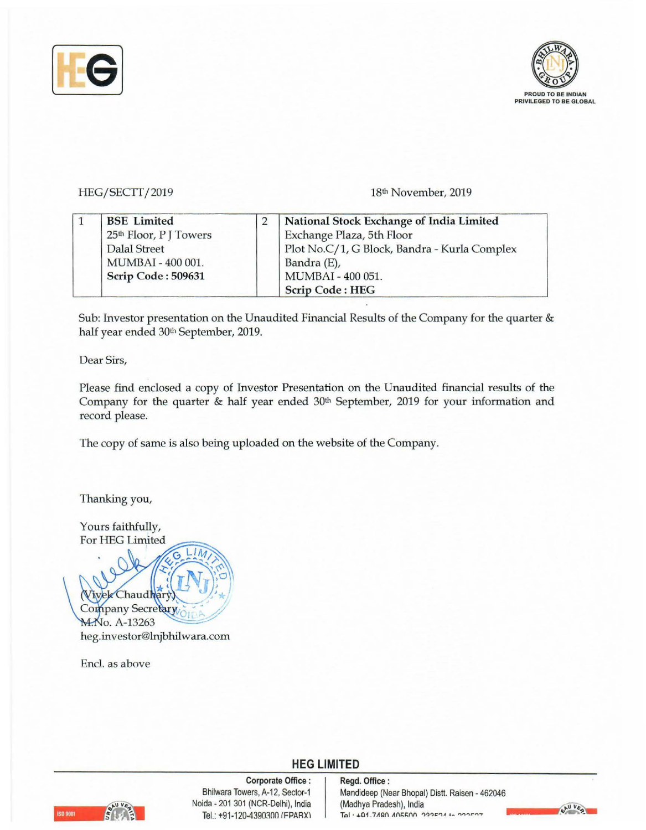



#### HEG/SECTT/2019

18th November, 2019

| <b>BSE</b> Limited                 | National Stock Exchange of India Limited     |
|------------------------------------|----------------------------------------------|
| 25 <sup>th</sup> Floor, P J Towers | Exchange Plaza, 5th Floor                    |
| Dalal Street                       | Plot No.C/1, G Block, Bandra - Kurla Complex |
| MUMBAI - 400 001.                  | Bandra (E),                                  |
| Scrip Code: 509631                 | MUMBAI - 400 051.                            |
|                                    | <b>Scrip Code: HEG</b>                       |

Sub: Investor presentation on the Unaudited Financial Results of the Company for the quarter & half year ended 30th September, 2019.

Dear Sirs,

Please find enclosed a copy of Investor Presentation on the Unaudited financial results of the Company for the quarter & half year ended 30<sup>th</sup> September, 2019 for your information and record please.

**HEG LIMITED** 

The copy of same is also being uploaded on the website of the Company.

Thanking you,

Yours faithfully, For HEG Limited

l *)*  '\* Chaud Company Secretary ~ **M.No. A-13263** heg.investor@lnjbhilwara.com

Encl. as above



**Corporate Office** : Bhilwara Towers, A-12, Sector-1 Noida - 201 301 (NCR-Delhi), India Tel.: +91-120-4390300 (FPARX)

#### **Regd. Office** : Mandideep (Near Bhopal) Distt. Raisen - 462046 (Madhya Pradesh), India **Toi • +01-7Aan Ani::i::nn l')?'lr:"IA** , \_ "I')",..,.....,.

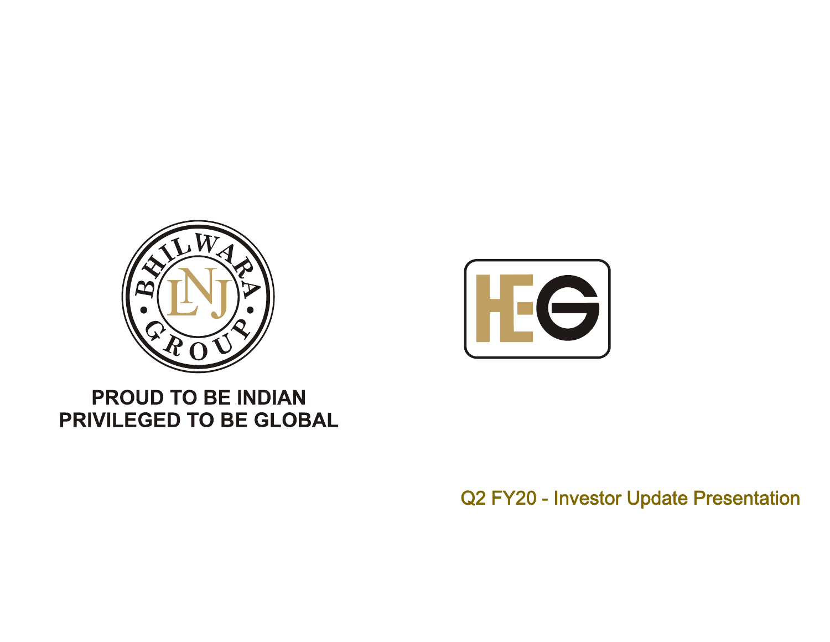



#### **PROUD TO BE INDIAN** PRIVILEGED TO BE GLOBAL

Q2 FY20 - Investor Update Presentation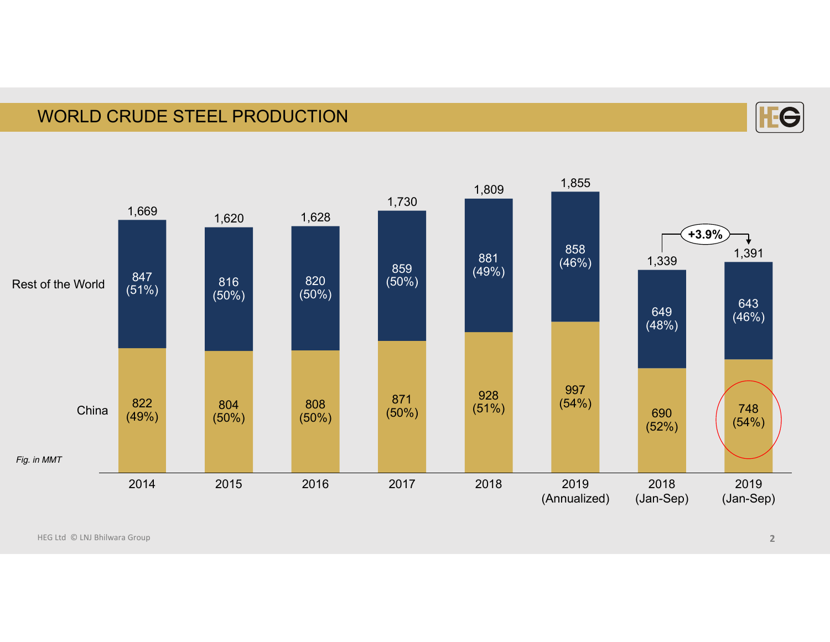#### WORLD CRUDE STEEL PRODUCTION



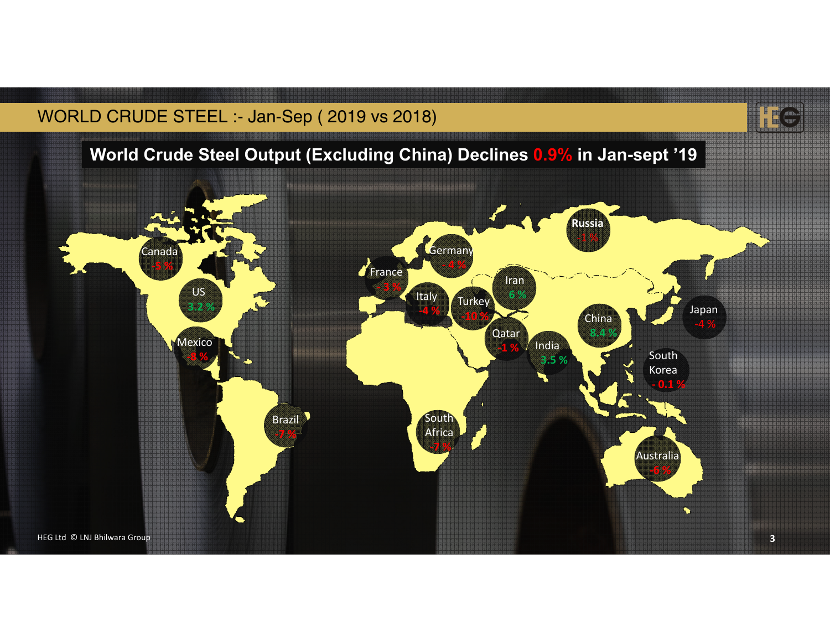#### WORLD CRUDE STEEL :- Jan-Sep ( 2019 vs 2018)



#### **World Crude Steel Output (Excluding China) Declines 0.9% in Jan-sept '19**

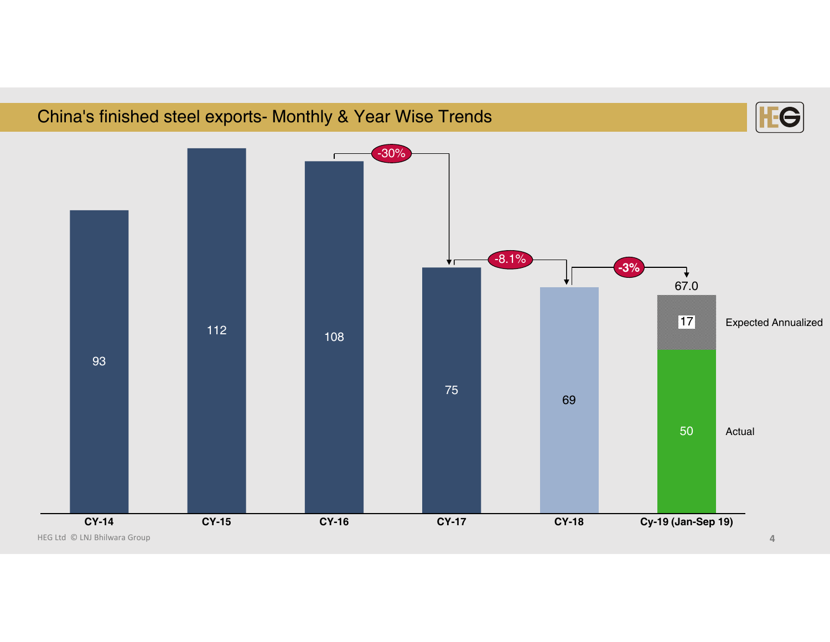#### China's finished steel exports- Monthly & Year Wise Trends



HEG Ltd © LNJ Bhilwara Group **4**

ЕC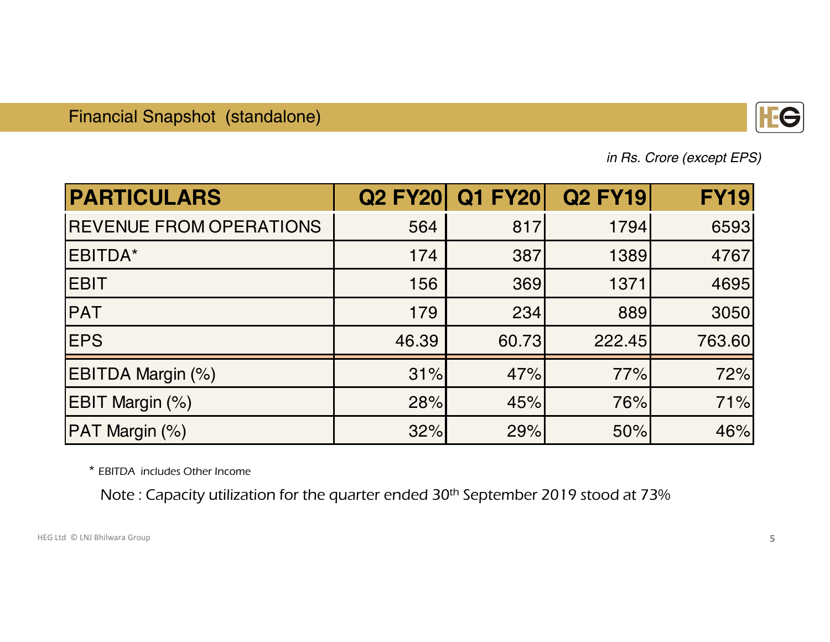

*in Rs. Crore (except EPS)*

| <b>PARTICULARS</b>             |       | <b>Q2 FY20 Q1 FY20</b> | <b>Q2 FY19</b> | <b>FY19</b> |
|--------------------------------|-------|------------------------|----------------|-------------|
| <b>REVENUE FROM OPERATIONS</b> | 564   | 817                    | 1794           | 6593        |
| EBITDA*                        | 174   | 387                    | 1389           | 4767        |
| <b>EBIT</b>                    | 156   | 369                    | 1371           | 4695        |
| <b>PAT</b>                     | 179   | 234                    | 889            | 3050        |
| <b>EPS</b>                     | 46.39 | 60.73                  | 222.45         | 763.60      |
| EBITDA Margin (%)              | 31%   | 47%                    | 77%            | 72%         |
| EBIT Margin (%)                | 28%   | 45%                    | 76%            | 71%         |
| PAT Margin (%)                 | 32%   | 29%                    | 50%            | 46%         |

\* EBITDA includes Other Income

Note : Capacity utilization for the quarter ended 30th September 2019 stood at 73%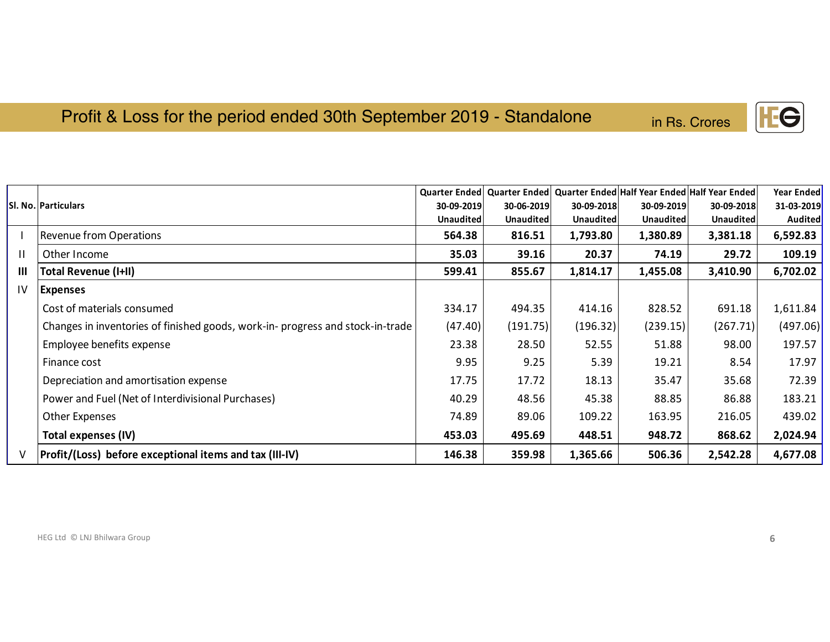### Profit & Loss for the period ended 30th September 2019 - Standalone in Rs.

| n Rs. Crores |  |
|--------------|--|
|              |  |
|              |  |

|               |                                                                                |            |            |            |            | Quarter Ended   Quarter Ended   Quarter Ended   Half Year Ended   Half Year Ended | <b>Year Ended</b> |
|---------------|--------------------------------------------------------------------------------|------------|------------|------------|------------|-----------------------------------------------------------------------------------|-------------------|
|               | <b>SI. No. Particulars</b>                                                     | 30-09-2019 | 30-06-2019 | 30-09-2018 | 30-09-2019 | 30-09-2018                                                                        | 31-03-2019        |
|               |                                                                                | Unaudited  | Unaudited  | Unaudited  | Unaudited  | Unaudited                                                                         | Audited           |
|               | <b>Revenue from Operations</b>                                                 | 564.38     | 816.51     | 1,793.80   | 1,380.89   | 3,381.18                                                                          | 6,592.83          |
|               | Other Income                                                                   | 35.03      | 39.16      | 20.37      | 74.19      | 29.72                                                                             | 109.19            |
| Ш             | Total Revenue (I+II)                                                           | 599.41     | 855.67     | 1,814.17   | 1,455.08   | 3,410.90                                                                          | 6,702.02          |
| $\mathsf{IV}$ | Expenses                                                                       |            |            |            |            |                                                                                   |                   |
|               | Cost of materials consumed                                                     | 334.17     | 494.35     | 414.16     | 828.52     | 691.18                                                                            | 1,611.84          |
|               | Changes in inventories of finished goods, work-in- progress and stock-in-trade | (47.40)    | (191.75)   | (196.32)   | (239.15)   | (267.71)                                                                          | (497.06)          |
|               | Employee benefits expense                                                      | 23.38      | 28.50      | 52.55      | 51.88      | 98.00                                                                             | 197.57            |
|               | Finance cost                                                                   | 9.95       | 9.25       | 5.39       | 19.21      | 8.54                                                                              | 17.97             |
|               | Depreciation and amortisation expense                                          | 17.75      | 17.72      | 18.13      | 35.47      | 35.68                                                                             | 72.39             |
|               | Power and Fuel (Net of Interdivisional Purchases)                              | 40.29      | 48.56      | 45.38      | 88.85      | 86.88                                                                             | 183.21            |
|               | Other Expenses                                                                 | 74.89      | 89.06      | 109.22     | 163.95     | 216.05                                                                            | 439.02            |
|               | Total expenses (IV)                                                            | 453.03     | 495.69     | 448.51     | 948.72     | 868.62                                                                            | 2,024.94          |
| ۷             | Profit/(Loss) before exceptional items and tax (III-IV)                        | 146.38     | 359.98     | 1,365.66   | 506.36     | 2,542.28                                                                          | 4,677.08          |

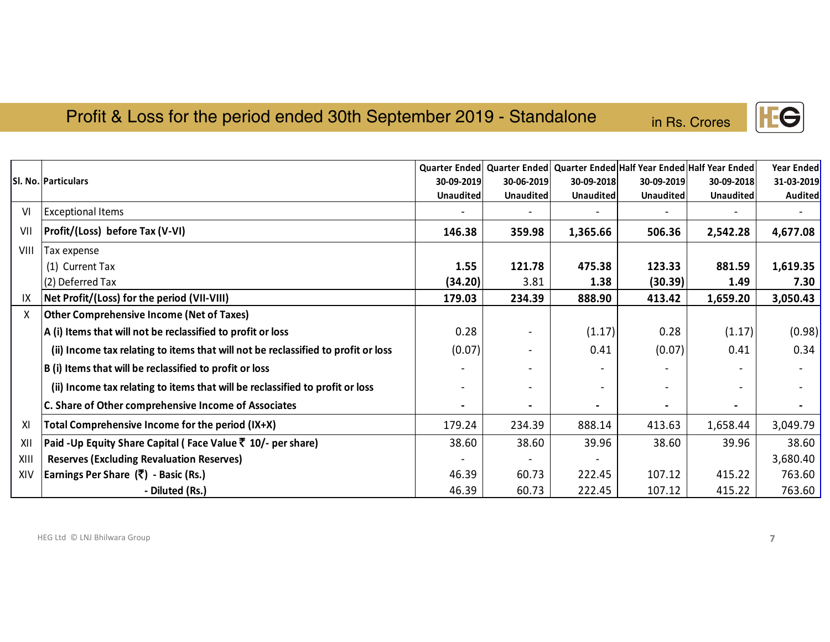#### Profit & Loss for the period ended 30th September 2019 - Standalone

|      |                                                                                   |                  |            |                  |            | Quarter Ended   Quarter Ended   Quarter Ended   Half Year Ended   Half Year Ended | <b>Year Ended</b> |
|------|-----------------------------------------------------------------------------------|------------------|------------|------------------|------------|-----------------------------------------------------------------------------------|-------------------|
|      | SI. No. Particulars                                                               | 30-09-2019       | 30-06-2019 | 30-09-2018       | 30-09-2019 | 30-09-2018                                                                        | 31-03-2019        |
|      |                                                                                   | <b>Unaudited</b> | Unaudited  | <b>Unaudited</b> | Unaudited  | <b>Unaudited</b>                                                                  | <b>Audited</b>    |
| VI   | <b>Exceptional Items</b>                                                          |                  |            |                  |            |                                                                                   |                   |
| VII  | Profit/(Loss) before Tax (V-VI)                                                   | 146.38           | 359.98     | 1,365.66         | 506.36     | 2,542.28                                                                          | 4,677.08          |
| VIII | Tax expense                                                                       |                  |            |                  |            |                                                                                   |                   |
|      | (1) Current Tax                                                                   | 1.55             | 121.78     | 475.38           | 123.33     | 881.59                                                                            | 1,619.35          |
|      | (2) Deferred Tax                                                                  | (34.20)          | 3.81       | 1.38             | (30.39)    | 1.49                                                                              | 7.30              |
| IΧ   | Net Profit/(Loss) for the period (VII-VIII)                                       | 179.03           | 234.39     | 888.90           | 413.42     | 1,659.20                                                                          | 3,050.43          |
| Χ    | <b>Other Comprehensive Income (Net of Taxes)</b>                                  |                  |            |                  |            |                                                                                   |                   |
|      | A (i) Items that will not be reclassified to profit or loss                       | 0.28             |            | (1.17)           | 0.28       | (1.17)                                                                            | (0.98)            |
|      | (ii) Income tax relating to items that will not be reclassified to profit or loss | (0.07)           |            | 0.41             | (0.07)     | 0.41                                                                              | 0.34              |
|      | B (i) Items that will be reclassified to profit or loss                           |                  |            |                  |            |                                                                                   |                   |
|      | (ii) Income tax relating to items that will be reclassified to profit or loss     |                  |            |                  |            |                                                                                   |                   |
|      | C. Share of Other comprehensive Income of Associates                              |                  |            |                  |            |                                                                                   |                   |
| XI   | Total Comprehensive Income for the period (IX+X)                                  | 179.24           | 234.39     | 888.14           | 413.63     | 1,658.44                                                                          | 3,049.79          |
| XII  | Paid -Up Equity Share Capital (Face Value ₹ 10/- per share)                       | 38.60            | 38.60      | 39.96            | 38.60      | 39.96                                                                             | 38.60             |
| XIII | <b>Reserves (Excluding Revaluation Reserves)</b>                                  |                  |            |                  |            |                                                                                   | 3,680.40          |
| XIV  | Earnings Per Share (₹) - Basic (Rs.)                                              | 46.39            | 60.73      | 222.45           | 107.12     | 415.22                                                                            | 763.60            |
|      | - Diluted (Rs.)                                                                   | 46.39            | 60.73      | 222.45           | 107.12     | 415.22                                                                            | 763.60            |

HEG Ltd © LNJ Bhilwara Group **7**



in Rs. Crores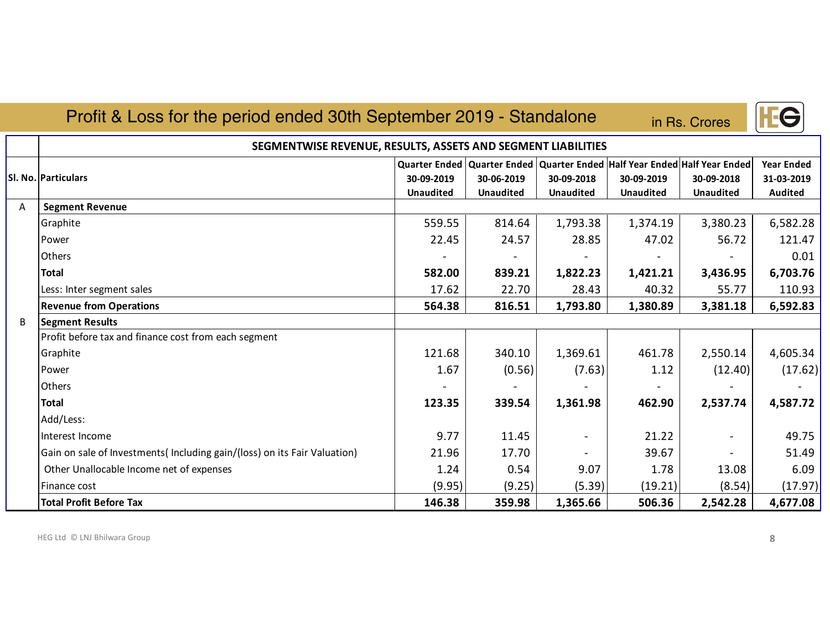|   | Profit & Loss for the period ended 30th September 2019 - Standalone       |                                                                 |                                |                                |                                                                                 | in Rs. Crores                  |                                                   |
|---|---------------------------------------------------------------------------|-----------------------------------------------------------------|--------------------------------|--------------------------------|---------------------------------------------------------------------------------|--------------------------------|---------------------------------------------------|
|   | SEGMENTWISE REVENUE, RESULTS, ASSETS AND SEGMENT LIABILITIES              |                                                                 |                                |                                |                                                                                 |                                |                                                   |
|   | Sl. No. Particulars                                                       | Quarter Ended   Quarter Ended<br>30-09-2019<br><b>Unaudited</b> | 30-06-2019<br><b>Unaudited</b> | 30-09-2018<br><b>Unaudited</b> | Quarter Ended Half Year Ended Half Year Ended<br>30-09-2019<br><b>Unaudited</b> | 30-09-2018<br><b>Unaudited</b> | <b>Year Ended</b><br>31-03-2019<br><b>Audited</b> |
| A | <b>Segment Revenue</b>                                                    |                                                                 |                                |                                |                                                                                 |                                |                                                   |
|   | Graphite                                                                  | 559.55                                                          | 814.64                         | 1,793.38                       | 1,374.19                                                                        | 3,380.23                       | 6,582.28                                          |
|   | Power                                                                     | 22.45                                                           | 24.57                          | 28.85                          | 47.02                                                                           | 56.72                          | 121.47                                            |
|   | Others                                                                    |                                                                 |                                |                                |                                                                                 |                                | 0.01                                              |
|   | <b>Total</b>                                                              | 582.00                                                          | 839.21                         | 1,822.23                       | 1,421.21                                                                        | 3,436.95                       | 6,703.76                                          |
|   | Less: Inter segment sales                                                 | 17.62                                                           | 22.70                          | 28.43                          | 40.32                                                                           | 55.77                          | 110.93                                            |
|   | <b>Revenue from Operations</b>                                            | 564.38                                                          | 816.51                         | 1,793.80                       | 1,380.89                                                                        | 3,381.18                       | 6,592.83                                          |
| B | <b>Segment Results</b>                                                    |                                                                 |                                |                                |                                                                                 |                                |                                                   |
|   | Profit before tax and finance cost from each segment                      |                                                                 |                                |                                |                                                                                 |                                |                                                   |
|   | Graphite                                                                  | 121.68                                                          | 340.10                         | 1,369.61                       | 461.78                                                                          | 2,550.14                       | 4,605.34                                          |
|   | Power                                                                     | 1.67                                                            | (0.56)                         | (7.63)                         | 1.12                                                                            | (12.40)                        | (17.62)                                           |
|   | <b>Others</b>                                                             |                                                                 |                                |                                |                                                                                 |                                |                                                   |
|   | <b>Total</b>                                                              | 123.35                                                          | 339.54                         | 1,361.98                       | 462.90                                                                          | 2,537.74                       | 4,587.72                                          |
|   | Add/Less:                                                                 |                                                                 |                                |                                |                                                                                 |                                |                                                   |
|   | Interest Income                                                           | 9.77                                                            | 11.45                          |                                | 21.22                                                                           |                                | 49.75                                             |
|   | Gain on sale of Investments (Including gain/(loss) on its Fair Valuation) | 21.96                                                           | 17.70                          | $\sim$                         | 39.67                                                                           |                                | 51.49                                             |
|   | Other Unallocable Income net of expenses                                  | 1.24                                                            | 0.54                           | 9.07                           | 1.78                                                                            | 13.08                          | 6.09                                              |
|   | Finance cost                                                              | (9.95)                                                          | (9.25)                         | (5.39)                         | (19.21)                                                                         | (8.54)                         | (17.97)                                           |
|   | <b>Total Profit Before Tax</b>                                            | 146.38                                                          | 359.98                         | 1,365.66                       | 506.36                                                                          | 2,542.28                       | 4,677.08                                          |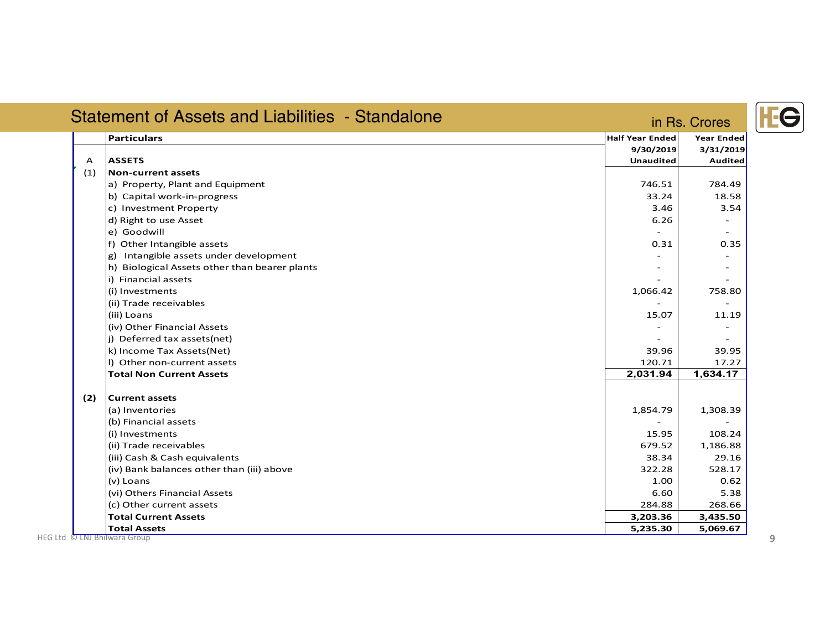|     | <b>Statement of Assets and Liabilities - Standalone</b> |                                     | in Rs. Crores            |
|-----|---------------------------------------------------------|-------------------------------------|--------------------------|
|     | <b>Particulars</b>                                      | <b>Half Year Ended</b><br>9/30/2019 | Year Ended<br>3/31/2019  |
| A   | <b>ASSETS</b>                                           | <b>Unaudited</b>                    | Audited                  |
| (1) | <b>Non-current assets</b>                               |                                     |                          |
|     | a) Property, Plant and Equipment                        | 746.51                              | 784.49                   |
|     | b) Capital work-in-progress                             | 33.24                               | 18.58                    |
|     | c) Investment Property                                  | 3.46                                | 3.54                     |
|     | d) Right to use Asset                                   | 6.26                                |                          |
|     | e) Goodwill                                             |                                     | $\overline{\phantom{0}}$ |
|     | f) Other Intangible assets                              | 0.31                                | 0.35                     |
|     | g) Intangible assets under development                  |                                     |                          |
|     | h) Biological Assets other than bearer plants           |                                     | $\overline{\phantom{a}}$ |
|     | i) Financial assets                                     |                                     |                          |
|     | (i) Investments                                         | 1,066.42                            | 758.80                   |
|     | (ii) Trade receivables                                  |                                     |                          |
|     | (iii) Loans                                             | 15.07                               | 11.19                    |
|     | (iv) Other Financial Assets                             |                                     | $\overline{\phantom{a}}$ |
|     | (j) Deferred tax assets(net)                            |                                     |                          |
|     | k) Income Tax Assets(Net)                               | 39.96                               | 39.95                    |
|     | I) Other non-current assets                             | 120.71                              | 17.27                    |
|     | <b>Total Non Current Assets</b>                         | 2,031.94                            | 1,634.17                 |
| (2) | <b>Current assets</b>                                   |                                     |                          |
|     | (a) Inventories                                         | 1,854.79                            | 1,308.39                 |
|     | (b) Financial assets                                    |                                     |                          |
|     | (i) Investments                                         | 15.95                               | 108.24                   |
|     | (ii) Trade receivables                                  | 679.52                              | 1,186.88                 |
|     | (iii) Cash & Cash equivalents                           | 38.34                               | 29.16                    |
|     | (iv) Bank balances other than (iii) above               | 322.28                              | 528.17                   |
|     | (v) Loans                                               | 1.00                                | 0.62                     |
|     | (vi) Others Financial Assets                            | 6.60                                | 5.38                     |
|     | (c) Other current assets                                | 284.88                              | 268.66                   |
|     | <b>Total Current Assets</b>                             | 3,203.36                            | 3,435.50                 |
|     | <b>Total Assets</b>                                     | 5,235.30                            | 5,069.67                 |

## **IFG**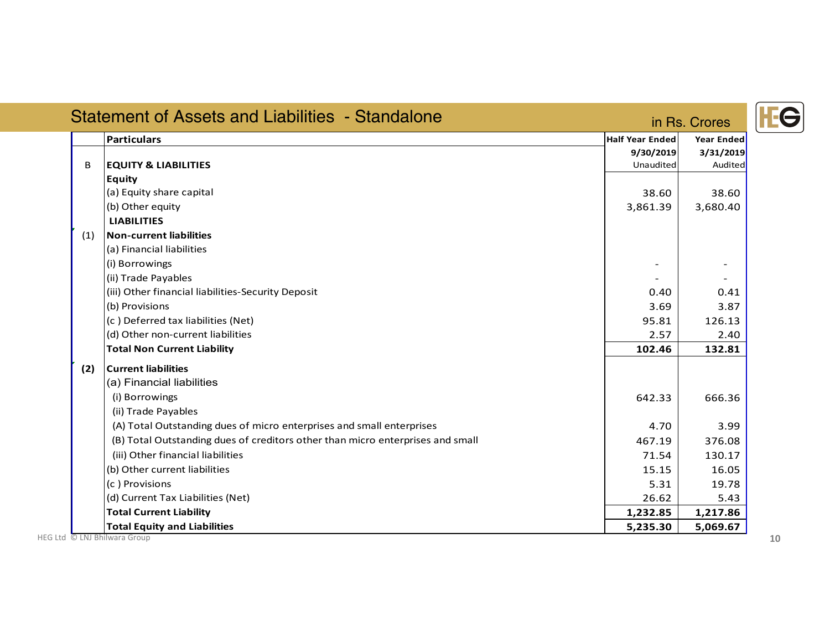|     | <b>Particulars</b>                                                             | <b>Half Year Ended</b> | Year Ended |
|-----|--------------------------------------------------------------------------------|------------------------|------------|
|     |                                                                                | 9/30/2019              | 3/31/2019  |
| B   | <b>EQUITY &amp; LIABILITIES</b>                                                | Unaudited              | Audited    |
|     | <b>Equity</b>                                                                  |                        |            |
|     | (a) Equity share capital                                                       | 38.60                  | 38.60      |
|     | (b) Other equity                                                               | 3,861.39               | 3,680.40   |
|     | <b>LIABILITIES</b>                                                             |                        |            |
| (1) | <b>Non-current liabilities</b>                                                 |                        |            |
|     | (a) Financial liabilities                                                      |                        |            |
|     | (i) Borrowings                                                                 |                        |            |
|     | (ii) Trade Payables                                                            |                        |            |
|     | (iii) Other financial liabilities-Security Deposit                             | 0.40                   | 0.41       |
|     | (b) Provisions                                                                 | 3.69                   | 3.87       |
|     | (c) Deferred tax liabilities (Net)                                             | 95.81                  | 126.13     |
|     | (d) Other non-current liabilities                                              | 2.57                   | 2.40       |
|     | <b>Total Non Current Liability</b>                                             | 102.46                 | 132.81     |
| (2) | <b>Current liabilities</b>                                                     |                        |            |
|     | (a) Financial liabilities                                                      |                        |            |
|     | (i) Borrowings                                                                 | 642.33                 | 666.36     |
|     | (ii) Trade Payables                                                            |                        |            |
|     | (A) Total Outstanding dues of micro enterprises and small enterprises          | 4.70                   | 3.99       |
|     | (B) Total Outstanding dues of creditors other than micro enterprises and small | 467.19                 | 376.08     |
|     | (iii) Other financial liabilities                                              | 71.54                  | 130.17     |
|     | (b) Other current liabilities                                                  | 15.15                  | 16.05      |
|     | (c) Provisions                                                                 | 5.31                   | 19.78      |
|     | (d) Current Tax Liabilities (Net)                                              | 26.62                  | 5.43       |
|     | <b>Total Current Liability</b>                                                 | 1,232.85               | 1,217.86   |

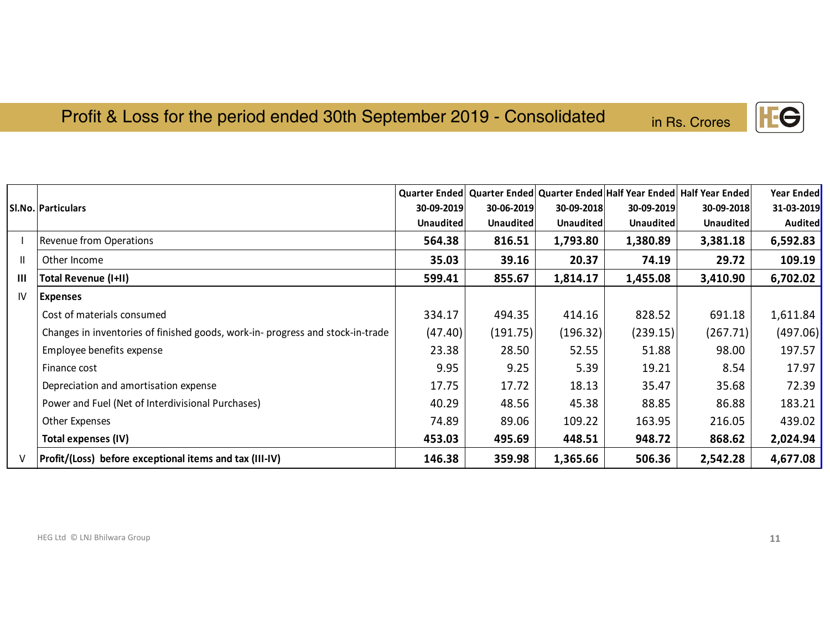## Profit & Loss for the period ended 30th September 2019 - Consolidated in Rs.

| <b>Rs. Crores</b> |  |  |
|-------------------|--|--|
|                   |  |  |

|                |                                                                               |                  |                  |                  |                  | Quarter Ended   Quarter Ended   Quarter Ended   Half Year Ended   Half Year Ended | <b>Year Ended</b> |
|----------------|-------------------------------------------------------------------------------|------------------|------------------|------------------|------------------|-----------------------------------------------------------------------------------|-------------------|
|                | Sl.No.   Particulars                                                          | 30-09-2019       | 30-06-2019       | 30-09-2018       | 30-09-2019       | 30-09-2018                                                                        | 31-03-2019        |
|                |                                                                               | <b>Unaudited</b> | <b>Unaudited</b> | <b>Unaudited</b> | <b>Unaudited</b> | <b>Unaudited</b>                                                                  | Audited           |
|                | Revenue from Operations                                                       | 564.38           | 816.51           | 1,793.80         | 1,380.89         | 3,381.18                                                                          | 6,592.83          |
| Ш.             | Other Income                                                                  | 35.03            | 39.16            | 20.37            | 74.19            | 29.72                                                                             | 109.19            |
| $\mathbf{III}$ | <b>Total Revenue (I+II)</b>                                                   | 599.41           | 855.67           | 1,814.17         | 1,455.08         | 3,410.90                                                                          | 6,702.02          |
| IV             | <b>Expenses</b>                                                               |                  |                  |                  |                  |                                                                                   |                   |
|                | Cost of materials consumed                                                    | 334.17           | 494.35           | 414.16           | 828.52           | 691.18                                                                            | 1,611.84          |
|                | Changes in inventories of finished goods, work-in-progress and stock-in-trade | (47.40)          | (191.75)         | (196.32)         | (239.15)         | (267.71)                                                                          | (497.06)          |
|                | Employee benefits expense                                                     | 23.38            | 28.50            | 52.55            | 51.88            | 98.00                                                                             | 197.57            |
|                | Finance cost                                                                  | 9.95             | 9.25             | 5.39             | 19.21            | 8.54                                                                              | 17.97             |
|                | Depreciation and amortisation expense                                         | 17.75            | 17.72            | 18.13            | 35.47            | 35.68                                                                             | 72.39             |
|                | Power and Fuel (Net of Interdivisional Purchases)                             | 40.29            | 48.56            | 45.38            | 88.85            | 86.88                                                                             | 183.21            |
|                | Other Expenses                                                                | 74.89            | 89.06            | 109.22           | 163.95           | 216.05                                                                            | 439.02            |
|                | Total expenses (IV)                                                           | 453.03           | 495.69           | 448.51           | 948.72           | 868.62                                                                            | 2,024.94          |
| $\vee$         | Profit/(Loss) before exceptional items and tax (III-IV)                       | 146.38           | 359.98           | 1,365.66         | 506.36           | 2,542.28                                                                          | 4,677.08          |
|                |                                                                               |                  |                  |                  |                  |                                                                                   |                   |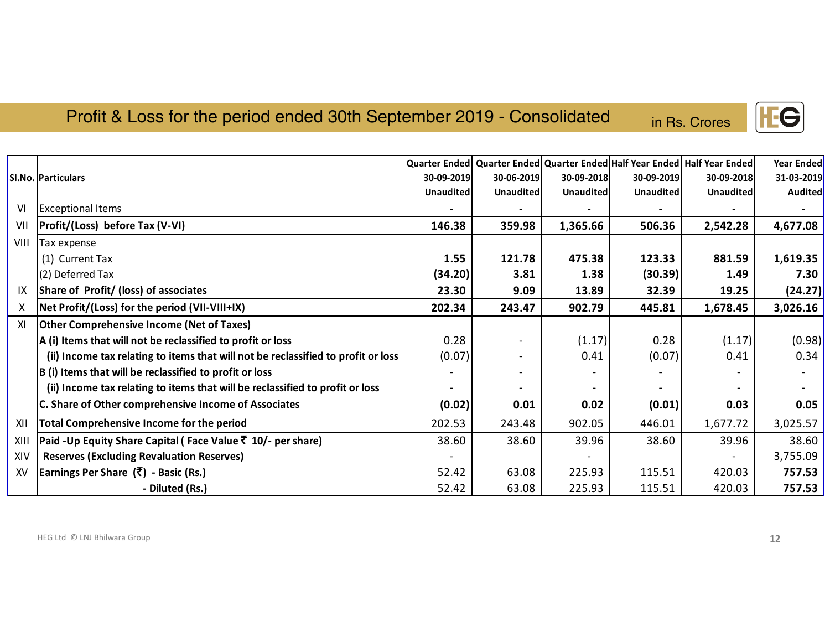#### Profit & Loss for the period ended 30th September 2019 - Consolidated

in Rs. Crores

|      |                                                                                   |                  |                  |            |                  | Quarter Ended   Quarter Ended   Quarter Ended   Half Year Ended   Half Year Ended | Year Ended     |
|------|-----------------------------------------------------------------------------------|------------------|------------------|------------|------------------|-----------------------------------------------------------------------------------|----------------|
|      | SI.No.   Particulars                                                              | 30-09-2019       | 30-06-2019       | 30-09-2018 | 30-09-2019       | 30-09-2018                                                                        | 31-03-2019     |
|      |                                                                                   | <b>Unaudited</b> | <b>Unaudited</b> | Unaudited  | <b>Unaudited</b> | Unaudited                                                                         | <b>Audited</b> |
| VI   | <b>Exceptional Items</b>                                                          |                  |                  |            |                  |                                                                                   |                |
| VII  | Profit/(Loss) before Tax (V-VI)                                                   | 146.38           | 359.98           | 1,365.66   | 506.36           | 2,542.28                                                                          | 4,677.08       |
| VIII | Tax expense                                                                       |                  |                  |            |                  |                                                                                   |                |
|      | (1) Current Tax                                                                   | 1.55             | 121.78           | 475.38     | 123.33           | 881.59                                                                            | 1,619.35       |
|      | (2) Deferred Tax                                                                  | (34.20)          | 3.81             | 1.38       | (30.39)          | 1.49                                                                              | 7.30           |
| IX   | Share of Profit/ (loss) of associates                                             | 23.30            | 9.09             | 13.89      | 32.39            | 19.25                                                                             | (24.27)        |
| X.   | Net Profit/(Loss) for the period (VII-VIII+IX)                                    | 202.34           | 243.47           | 902.79     | 445.81           | 1,678.45                                                                          | 3,026.16       |
| XI   | <b>Other Comprehensive Income (Net of Taxes)</b>                                  |                  |                  |            |                  |                                                                                   |                |
|      | A (i) Items that will not be reclassified to profit or loss                       | 0.28             |                  | (1.17)     | 0.28             | (1.17)                                                                            | (0.98)         |
|      | (ii) Income tax relating to items that will not be reclassified to profit or loss | (0.07)           |                  | 0.41       | (0.07)           | 0.41                                                                              | 0.34           |
|      | B (i) Items that will be reclassified to profit or loss                           |                  |                  |            |                  |                                                                                   |                |
|      | (ii) Income tax relating to items that will be reclassified to profit or loss     |                  |                  |            |                  |                                                                                   |                |
|      | C. Share of Other comprehensive Income of Associates                              | (0.02)           | 0.01             | 0.02       | (0.01)           | 0.03                                                                              | 0.05           |
| XII  | <b>Total Comprehensive Income for the period</b>                                  | 202.53           | 243.48           | 902.05     | 446.01           | 1,677.72                                                                          | 3,025.57       |
| XIII | Paid -Up Equity Share Capital (Face Value ₹ 10/- per share)                       | 38.60            | 38.60            | 39.96      | 38.60            | 39.96                                                                             | 38.60          |
| XIV  | <b>Reserves (Excluding Revaluation Reserves)</b>                                  |                  |                  |            |                  |                                                                                   | 3,755.09       |
| XV   | Earnings Per Share (₹) - Basic (Rs.)                                              | 52.42            | 63.08            | 225.93     | 115.51           | 420.03                                                                            | 757.53         |
|      | - Diluted (Rs.)                                                                   | 52.42            | 63.08            | 225.93     | 115.51           | 420.03                                                                            | 757.53         |

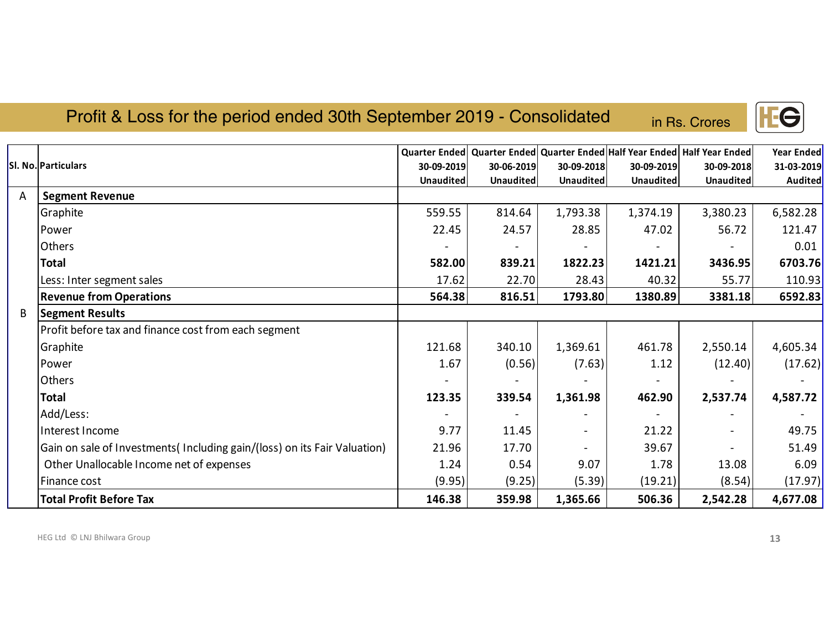#### Profit & Loss for the period ended 30th September 2019 - Consolidated

in Rs. Crores

|   |                                                                           |                  |                  |                  |                  | Quarter Ended Quarter Ended Quarter Ended Half Year Ended Half Year Ended | Year Ended     |
|---|---------------------------------------------------------------------------|------------------|------------------|------------------|------------------|---------------------------------------------------------------------------|----------------|
|   | I. No. Particulars                                                        | 30-09-2019       | 30-06-2019       | 30-09-2018       | 30-09-2019       | 30-09-2018                                                                | 31-03-2019     |
|   |                                                                           | <b>Unaudited</b> | <b>Unaudited</b> | <b>Unaudited</b> | <b>Unaudited</b> | Unaudited                                                                 | <b>Audited</b> |
| A | <b>Segment Revenue</b>                                                    |                  |                  |                  |                  |                                                                           |                |
|   | Graphite                                                                  | 559.55           | 814.64           | 1,793.38         | 1,374.19         | 3,380.23                                                                  | 6,582.28       |
|   | Power                                                                     | 22.45            | 24.57            | 28.85            | 47.02            | 56.72                                                                     | 121.47         |
|   | Others                                                                    |                  |                  |                  |                  |                                                                           | 0.01           |
|   | <b>Total</b>                                                              | 582.00           | 839.21           | 1822.23          | 1421.21          | 3436.95                                                                   | 6703.76        |
|   | Less: Inter segment sales                                                 | 17.62            | 22.70            | 28.43            | 40.32            | 55.77                                                                     | 110.93         |
|   | <b>Revenue from Operations</b>                                            | 564.38           | 816.51           | 1793.80          | 1380.89          | 3381.18                                                                   | 6592.83        |
| B | <b>Segment Results</b>                                                    |                  |                  |                  |                  |                                                                           |                |
|   | Profit before tax and finance cost from each segment                      |                  |                  |                  |                  |                                                                           |                |
|   | Graphite                                                                  | 121.68           | 340.10           | 1,369.61         | 461.78           | 2,550.14                                                                  | 4,605.34       |
|   | Power                                                                     | 1.67             | (0.56)           | (7.63)           | 1.12             | (12.40)                                                                   | (17.62)        |
|   | Others                                                                    |                  |                  |                  |                  |                                                                           |                |
|   | <b>Total</b>                                                              | 123.35           | 339.54           | 1,361.98         | 462.90           | 2,537.74                                                                  | 4,587.72       |
|   | Add/Less:                                                                 |                  |                  |                  |                  |                                                                           |                |
|   | Interest Income                                                           | 9.77             | 11.45            |                  | 21.22            |                                                                           | 49.75          |
|   | Gain on sale of Investments (Including gain/(loss) on its Fair Valuation) | 21.96            | 17.70            |                  | 39.67            |                                                                           | 51.49          |
|   | Other Unallocable Income net of expenses                                  | 1.24             | 0.54             | 9.07             | 1.78             | 13.08                                                                     | 6.09           |
|   | Finance cost                                                              | (9.95)           | (9.25)           | (5.39)           | (19.21)          | (8.54)                                                                    | (17.97)        |
|   | <b>Total Profit Before Tax</b>                                            | 146.38           | 359.98           | 1,365.66         | 506.36           | 2,542.28                                                                  | 4,677.08       |

HEG Ltd © LNJ Bhilwara Group

**Sl.**

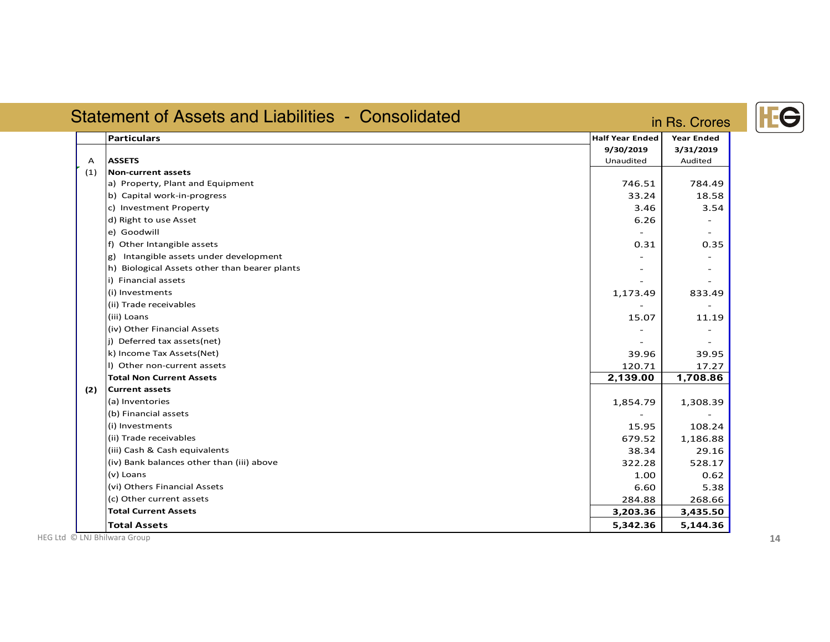|     | <b>Statement of Assets and Liabilities - Consolidated</b> | in Rs. Crores                                    |                                           |
|-----|-----------------------------------------------------------|--------------------------------------------------|-------------------------------------------|
| А   | <b>Particulars</b><br><b>ASSETS</b>                       | <b>Half Year Ended</b><br>9/30/2019<br>Unaudited | <b>Year Ended</b><br>3/31/2019<br>Audited |
| (1) | <b>Non-current assets</b>                                 |                                                  |                                           |
|     | a) Property, Plant and Equipment                          | 746.51                                           | 784.49                                    |
|     | b) Capital work-in-progress                               | 33.24                                            | 18.58                                     |
|     | c) Investment Property                                    | 3.46                                             | 3.54                                      |
|     | d) Right to use Asset                                     | 6.26                                             |                                           |
|     | e) Goodwill                                               |                                                  |                                           |
|     | f) Other Intangible assets                                | 0.31                                             | 0.35                                      |
|     | g) Intangible assets under development                    |                                                  |                                           |
|     | h) Biological Assets other than bearer plants             |                                                  |                                           |
|     | i) Financial assets                                       |                                                  |                                           |
|     | (i) Investments                                           | 1,173.49                                         | 833.49                                    |
|     | (ii) Trade receivables                                    |                                                  |                                           |
|     | (iii) Loans                                               | 15.07                                            | 11.19                                     |
|     | (iv) Other Financial Assets                               |                                                  |                                           |
|     | j) Deferred tax assets(net)                               |                                                  |                                           |
|     | k) Income Tax Assets(Net)                                 | 39.96                                            | 39.95                                     |
|     | I) Other non-current assets                               | 120.71                                           | 17.27                                     |
|     | <b>Total Non Current Assets</b>                           | 2,139.00                                         | 1,708.86                                  |
| (2) | <b>Current assets</b>                                     |                                                  |                                           |
|     | (a) Inventories                                           | 1,854.79                                         | 1,308.39                                  |
|     | (b) Financial assets                                      |                                                  |                                           |
|     | (i) Investments                                           | 15.95                                            | 108.24                                    |
|     | (ii) Trade receivables                                    | 679.52                                           | 1,186.88                                  |
|     | (iii) Cash & Cash equivalents                             | 38.34                                            | 29.16                                     |
|     | (iv) Bank balances other than (iii) above                 | 322.28                                           | 528.17                                    |
|     | (v) Loans                                                 | 1.00                                             | 0.62                                      |
|     | (vi) Others Financial Assets                              | 6.60                                             | 5.38                                      |
|     | (c) Other current assets                                  | 284.88                                           | 268.66                                    |
|     | <b>Total Current Assets</b>                               | 3,203.36                                         | 3,435.50                                  |
|     | <b>Total Assets</b>                                       | 5,342.36                                         | 5,144.36                                  |

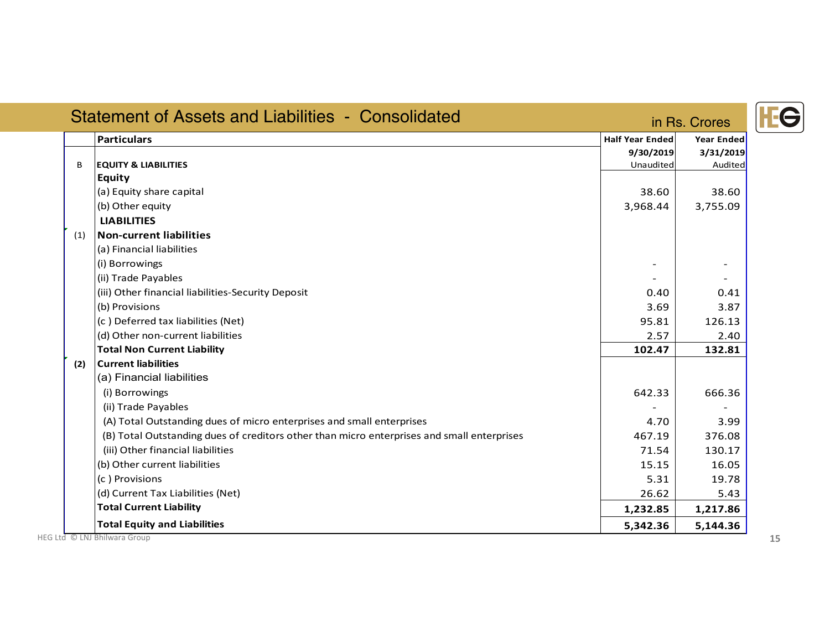| <b>Statement of Assets and Liabilities - Consolidated</b> |                                                                                            |                        | in Rs. Crores     |  |
|-----------------------------------------------------------|--------------------------------------------------------------------------------------------|------------------------|-------------------|--|
|                                                           | <b>Particulars</b>                                                                         | <b>Half Year Ended</b> | <b>Year Ended</b> |  |
|                                                           |                                                                                            | 9/30/2019              | 3/31/2019         |  |
| B                                                         | <b>EQUITY &amp; LIABILITIES</b>                                                            | Unaudited              | Audited           |  |
|                                                           | <b>Equity</b>                                                                              |                        |                   |  |
|                                                           | (a) Equity share capital                                                                   | 38.60                  | 38.60             |  |
|                                                           | (b) Other equity                                                                           | 3,968.44               | 3,755.09          |  |
|                                                           | <b>LIABILITIES</b>                                                                         |                        |                   |  |
| (1)                                                       | Non-current liabilities                                                                    |                        |                   |  |
|                                                           | (a) Financial liabilities                                                                  |                        |                   |  |
|                                                           | (i) Borrowings                                                                             |                        |                   |  |
|                                                           | (ii) Trade Payables                                                                        |                        |                   |  |
|                                                           | (iii) Other financial liabilities-Security Deposit                                         | 0.40                   | 0.41              |  |
|                                                           | (b) Provisions                                                                             | 3.69                   | 3.87              |  |
|                                                           | (c) Deferred tax liabilities (Net)                                                         | 95.81                  | 126.13            |  |
|                                                           | (d) Other non-current liabilities                                                          | 2.57                   | 2.40              |  |
|                                                           | <b>Total Non Current Liability</b>                                                         | 102.47                 | 132.81            |  |
| (2)                                                       | <b>Current liabilities</b>                                                                 |                        |                   |  |
|                                                           | (a) Financial liabilities                                                                  |                        |                   |  |
|                                                           | (i) Borrowings                                                                             | 642.33                 | 666.36            |  |
|                                                           | (ii) Trade Payables                                                                        |                        |                   |  |
|                                                           | (A) Total Outstanding dues of micro enterprises and small enterprises                      | 4.70                   | 3.99              |  |
|                                                           | (B) Total Outstanding dues of creditors other than micro enterprises and small enterprises | 467.19                 | 376.08            |  |
|                                                           | (iii) Other financial liabilities                                                          | 71.54                  | 130.17            |  |
|                                                           | (b) Other current liabilities                                                              | 15.15                  | 16.05             |  |
|                                                           | (c) Provisions                                                                             | 5.31                   | 19.78             |  |
|                                                           | (d) Current Tax Liabilities (Net)                                                          | 26.62                  | 5.43              |  |
|                                                           | <b>Total Current Liability</b>                                                             | 1,232.85               | 1,217.86          |  |
|                                                           | <b>Total Equity and Liabilities</b>                                                        | 5,342.36               | 5,144.36          |  |